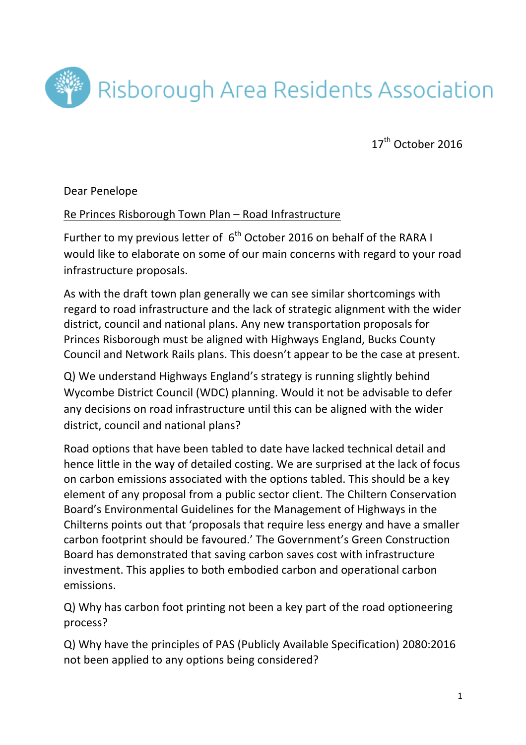

 $17<sup>th</sup>$  October 2016

Dear Penelope

## Re Princes Risborough Town Plan - Road Infrastructure

Further to my previous letter of  $6<sup>th</sup>$  October 2016 on behalf of the RARA I would like to elaborate on some of our main concerns with regard to your road infrastructure proposals.

As with the draft town plan generally we can see similar shortcomings with regard to road infrastructure and the lack of strategic alignment with the wider district, council and national plans. Any new transportation proposals for Princes Risborough must be aligned with Highways England, Bucks County Council and Network Rails plans. This doesn't appear to be the case at present.

Q) We understand Highways England's strategy is running slightly behind Wycombe District Council (WDC) planning. Would it not be advisable to defer any decisions on road infrastructure until this can be aligned with the wider district, council and national plans?

Road options that have been tabled to date have lacked technical detail and hence little in the way of detailed costing. We are surprised at the lack of focus on carbon emissions associated with the options tabled. This should be a key element of any proposal from a public sector client. The Chiltern Conservation Board's Environmental Guidelines for the Management of Highways in the Chilterns points out that 'proposals that require less energy and have a smaller carbon footprint should be favoured.' The Government's Green Construction Board has demonstrated that saving carbon saves cost with infrastructure investment. This applies to both embodied carbon and operational carbon emissions.

Q) Why has carbon foot printing not been a key part of the road optioneering process? 

Q) Why have the principles of PAS (Publicly Available Specification) 2080:2016 not been applied to any options being considered?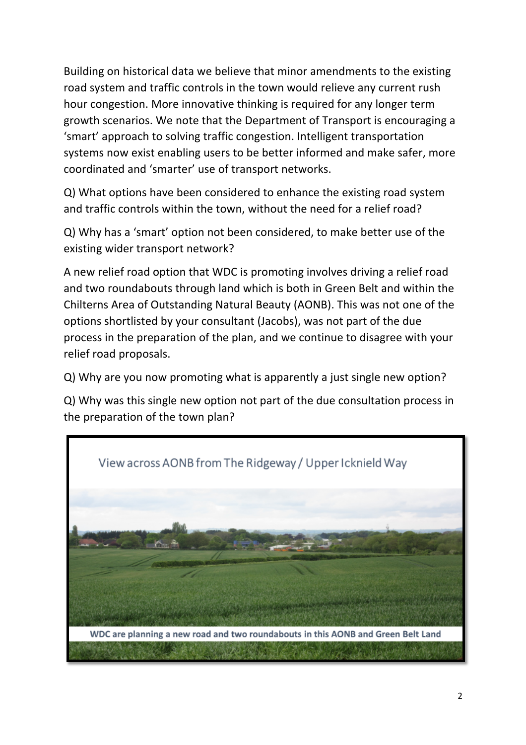Building on historical data we believe that minor amendments to the existing road system and traffic controls in the town would relieve any current rush hour congestion. More innovative thinking is required for any longer term growth scenarios. We note that the Department of Transport is encouraging a 'smart' approach to solving traffic congestion. Intelligent transportation systems now exist enabling users to be better informed and make safer, more coordinated and 'smarter' use of transport networks.

Q) What options have been considered to enhance the existing road system and traffic controls within the town, without the need for a relief road?

Q) Why has a 'smart' option not been considered, to make better use of the existing wider transport network?

A new relief road option that WDC is promoting involves driving a relief road and two roundabouts through land which is both in Green Belt and within the Chilterns Area of Outstanding Natural Beauty (AONB). This was not one of the options shortlisted by your consultant (Jacobs), was not part of the due process in the preparation of the plan, and we continue to disagree with your relief road proposals.

Q) Why are you now promoting what is apparently a just single new option?

Q) Why was this single new option not part of the due consultation process in the preparation of the town plan?

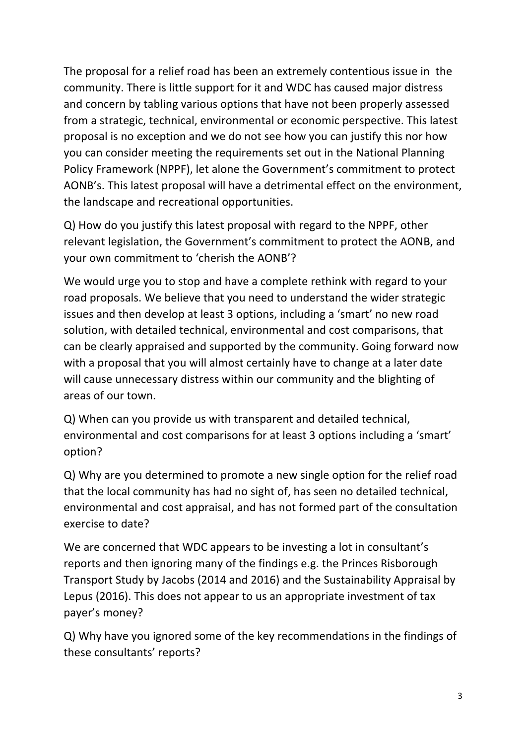The proposal for a relief road has been an extremely contentious issue in the community. There is little support for it and WDC has caused major distress and concern by tabling various options that have not been properly assessed from a strategic, technical, environmental or economic perspective. This latest proposal is no exception and we do not see how you can justify this nor how you can consider meeting the requirements set out in the National Planning Policy Framework (NPPF), let alone the Government's commitment to protect AONB's. This latest proposal will have a detrimental effect on the environment, the landscape and recreational opportunities.

Q) How do you justify this latest proposal with regard to the NPPF, other relevant legislation, the Government's commitment to protect the AONB, and your own commitment to 'cherish the AONB'?

We would urge you to stop and have a complete rethink with regard to your road proposals. We believe that you need to understand the wider strategic issues and then develop at least 3 options, including a 'smart' no new road solution, with detailed technical, environmental and cost comparisons, that can be clearly appraised and supported by the community. Going forward now with a proposal that you will almost certainly have to change at a later date will cause unnecessary distress within our community and the blighting of areas of our town.

Q) When can you provide us with transparent and detailed technical, environmental and cost comparisons for at least 3 options including a 'smart' option?

Q) Why are you determined to promote a new single option for the relief road that the local community has had no sight of, has seen no detailed technical, environmental and cost appraisal, and has not formed part of the consultation exercise to date?

We are concerned that WDC appears to be investing a lot in consultant's reports and then ignoring many of the findings e.g. the Princes Risborough Transport Study by Jacobs (2014 and 2016) and the Sustainability Appraisal by Lepus (2016). This does not appear to us an appropriate investment of tax payer's money?

Q) Why have you ignored some of the key recommendations in the findings of these consultants' reports?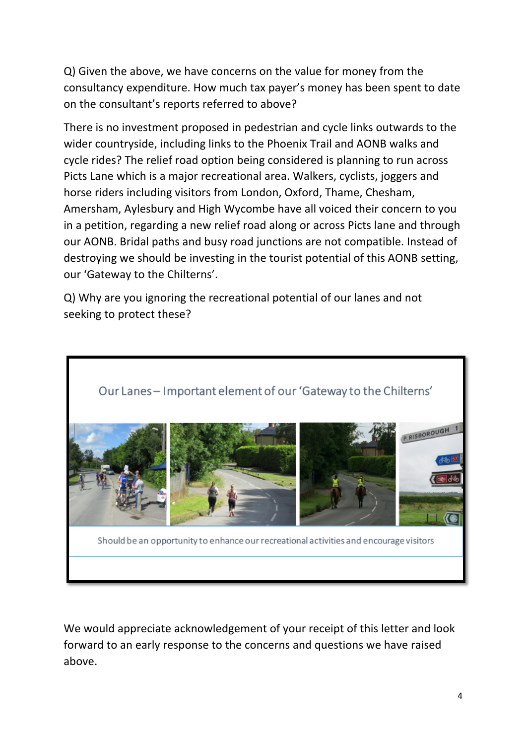Q) Given the above, we have concerns on the value for money from the consultancy expenditure. How much tax payer's money has been spent to date on the consultant's reports referred to above?

There is no investment proposed in pedestrian and cycle links outwards to the wider countryside, including links to the Phoenix Trail and AONB walks and cycle rides? The relief road option being considered is planning to run across Picts Lane which is a major recreational area. Walkers, cyclists, joggers and horse riders including visitors from London, Oxford, Thame, Chesham, Amersham, Aylesbury and High Wycombe have all voiced their concern to you in a petition, regarding a new relief road along or across Picts lane and through our AONB. Bridal paths and busy road junctions are not compatible. Instead of destroying we should be investing in the tourist potential of this AONB setting, our 'Gateway to the Chilterns'.

Q) Why are you ignoring the recreational potential of our lanes and not seeking to protect these?



We would appreciate acknowledgement of your receipt of this letter and look forward to an early response to the concerns and questions we have raised above.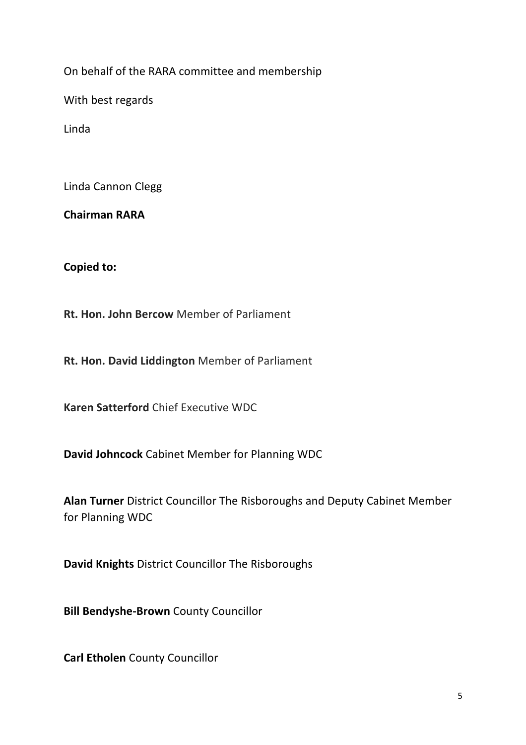On behalf of the RARA committee and membership

With best regards

Linda

Linda Cannon Clegg

**Chairman RARA**

**Copied to:** 

**Rt. Hon. John Bercow** Member of Parliament

**Rt. Hon. David Liddington Member of Parliament** 

**Karen Satterford** Chief Executive WDC

**David Johncock** Cabinet Member for Planning WDC

Alan Turner District Councillor The Risboroughs and Deputy Cabinet Member for Planning WDC

**David Knights District Councillor The Risboroughs** 

**Bill Bendyshe-Brown** County Councillor

**Carl Etholen** County Councillor